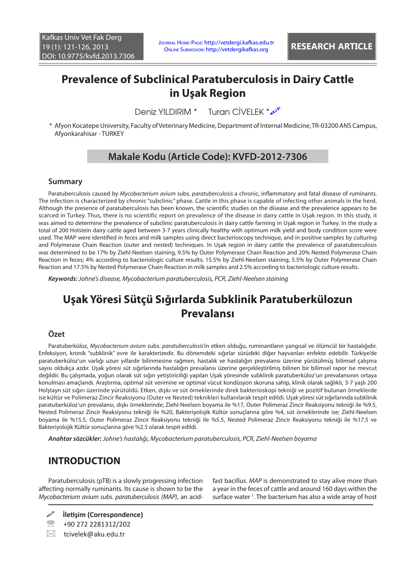# **Prevalence of Subclinical Paratuberculosis in Dairy Cattle in Uşak Region**

Deniz YII DIRIM \* Turan CİVELEK \* 2

\* Afyon Kocatepe University, Faculty of Veterinary Medicine, Department of Internal Medicine, TR-03200 ANS Campus, Afyonkarahisar - TURKEY

# **Makale Kodu (Article Code): KVFD-2012-7306**

#### **Summary**

Paratuberculosis caused by *Mycobacterium avium* subs. *paratuberculosis* a chronic, inflammatory and fatal disease of ruminants. The infection is characterized by chronic "subclinic" phase. Cattle in this phase is capable of infecting other animals in the herd. Although the presence of paratuberculosis has been known, the scientific studies on the disease and the prevalence appears to be scarced in Turkey. Thus, there is no scientific report on prevalence of the disease in dairy cattle in Uşak region. In this study, it was aimed to determine the prevalence of subclinic paratuberculosis in dairy cattle farming in Uşak region in Turkey. In the study a total of 200 Holstein dairy cattle aged between 3-7 years clinically healthy with optimum milk yield and body condition score were used. The MAP were identified in feces and milk samples using direct bacterioscopy technique, and in positive samples by culturing and Polymerase Chain Reaction (outer and nested) techniques. In Uşak region in dairy cattle the prevalence of paratuberculosis was determined to be 17% by Ziehl-Neelsen staining, 9.5% by Outer Polymerase Chain Reaction and 20% Nested Polymerase Chain Reaction in feces; 4% according to bacteriologic culture results; 15.5% by Ziehl-Neelsen staining, 5.5% by Outer Polymerase Chain Reaction and 17.5% by Nested Polymerase Chain Reaction in milk samples and 2.5% according to bacteriologic culture results.

*Keywords: Johne's disease, Mycobacterium paratuberculosis, PCR, Ziehl-Neelsen staining*

# **Uşak Yöresi Sütçü Sığırlarda Subklinik Paratuberkülozun Prevalansı**

#### **Özet**

Paratuberküloz, *Mycobacterium avium* subs. *paratuberculosis*'in etken olduğu, ruminantların yangısal ve ölümcül bir hastalığıdır. Enfeksiyon, kronik "subklinik" evre ile karakterizedir. Bu dönemdeki sığırlar sürüdeki diğer hayvanları enfekte edebilir. Türkiye'de paratuberküloz'un varlığı uzun yıllardır bilinmesine rağmen, hastalık ve hastalığın prevalansı üzerine yürütülmüş bilimsel çalışma sayısı oldukça azdır. Uşak yöresi süt sığırlarında hastalığın prevalansı üzerine gerçekleştirilmiş bilinen bir bilimsel rapor ise mevcut değildir. Bu çalışmada, yoğun olarak süt sığırı yetiştiriciliği yapılan Uşak yöresinde subklinik paratuberküloz'un prevalansının ortaya konulması amaçlandı. Araştırma, optimal süt verimine ve optimal vücut kondüsyon skoruna sahip, klinik olarak sağlıklı, 3-7 yaşlı 200 Holştayn süt sığırı üzerinde yürütüldü. Etken, dışkı ve süt örneklerinde direk bakterioskopi tekniği ve pozitif bulunan örneklerde ise kültür ve Polimeraz Zincir Reaksiyonu (Outer ve Nested) teknikleri kullanılarak tespit edildi. Uşak yöresi süt sığırlarında subklinik paratuberküloz'un prevalansı, dışkı örneklerinde; Ziehl-Neelsen boyama ile %17, Outer Polimeraz Zincir Reaksiyonu tekniği ile %9.5, Nested Polimeraz Zincir Reaksiyonu tekniği ile %20, Bakteriyolojik Kültür sonuçlarına göre %4, süt örneklerinde ise; Ziehl-Neelsen boyama ile %15.5, Outer Polimeraz Zincir Reaksiyonu tekniği ile %5.5, Nested Polimeraz Zincir Reaksiyonu tekniği ile %17.5 ve Bakteriyolojik Kültür sonuçlarına göre %2.5 olarak tespit edildi.

*Anahtar sözcükler: Johne's hastalığı, Mycobacterium paratuberculosis, PCR, Ziehl-Neelsen boyama*

### **INTRODUCTION**

Paratuberculosis (pTB) is a slowly progressing infection affecting normally ruminants. Its cause is shown to be the *Mycobacterium avium subs. paratuberculosis (MAP)*, an acid-

**İletişim (Correspondence)**

<sup>2</sup> +90 272 2281312/202

 $\boxtimes$  tcivelek@aku.edu.tr

fast bacillus. *MAP* is demonstrated to stay alive more than a year in the feces of cattle and around 160 days within the surface water<sup>[1](#page-4-0)</sup>. The bacterium has also a wide array of host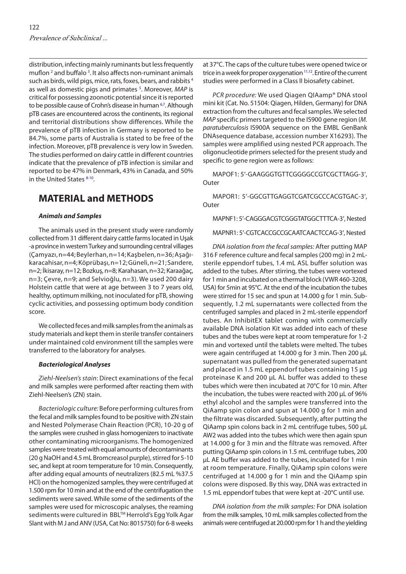distribution, infecting mainly ruminants but less frequently muflon <sup>2</sup> and buffalo <sup>[3](#page-4-0)</sup>. It also affects non-ruminant animals such as birds, wild pigs, mice, rats, foxes, bears, and rabbits [4](#page-4-0) as well as domestic pigs and primates <sup>[5](#page-4-0)</sup>. Moreover, MAP is critical for possessing zoonotic potential since it is reported to be possible cause of Crohn's disease in human <sup>6,7</sup>. Although pTB cases are encountered across the continents, its regional and territorial distributions show differences. While the prevalence of pTB infection in Germany is reported to be 84.7%, some parts of Australia is stated to be free of the infection. Moreover, pTB prevalence is very low in Sweden. The studies performed on dairy cattle in different countries indicate that the prevalence of pTB infection is similar and reported to be 47% in Denmark, 43% in Canada, and 50% in the United States [8-10.](#page-4-0)

# **MATERIAL and METHODS**

#### *Animals and Samples*

The animals used in the present study were randomly collected from 31 different dairy cattle farms located in Uşak -a province in western Turkey and surrounding central villages (Çamyazı, n=44; Beylerhan, n=14; Kaşbelen, n=36; Aşağıkaracahisar, n=4; Köprübaşı, n=12; Güneli, n=21; Sarıdere, n=2; İkisaray, n=12; Bozkuş, n=8; Karahasan, n=32; Karaağaç, n=3; Çevre, n=9; and Selvioğlu, n=3). We used 200 dairy Holstein cattle that were at age between 3 to 7 years old, healthy, optimum milking, not inoculated for pTB, showing cyclic activities, and possessing optimum body condition score.

We collected feces and milk samples from the animals as study materials and kept them in sterile transfer containers under maintained cold environment till the samples were transferred to the laboratory for analyses.

#### *Bacteriological Analyses*

*Ziehl-Neelsen's stain*: Direct examinations of the fecal and milk samples were performed after reacting them with Ziehl-Neelsen's (ZN) stain.

*Bacteriologic culture:* Before performing cultures from the fecal and milk samples found to be positive with ZN stain and Nested Polymerase Chain Reaction (PCR), 10-20 g of the samples were crushed in glass homogenizers to inactivate other contaminating microorganisms. The homogenized samples were treated with equal amounts of decontaminants (20 g NaOH and 4.5 mL Bromcreasol purple), stirred for 5-10 sec, and kept at room temperature for 10 min. Consequently, after adding equal amounts of neutralizers (82.5 mL %37.5 HCl) on the homogenized samples, they were centrifuged at 1.500 rpm for 10 min and at the end of the centrifugation the sediments were saved. While some of the sediments of the samples were used for microscopic analyses, the reaming sediments were cultured in BBL™ Herrold's Egg Yolk Agar Slant with M J and ANV (USA, Cat No: 8015750) for 6-8 weeks

at 37°C. The caps of the culture tubes were opened twice or trice in a week for proper oxygenation  $11,12$ . Entire of the current studies were performed in a Class II biosafety cabinet.

*PCR procedure:* We used Qiagen QIAamp® DNA stool mini kit (Cat. No. 51504: Qiagen, Hilden, Germany) for DNA extraction from the cultures and fecal samples. We selected *MAP* specific primers targeted to the IS900 gene region (*M. paratuberculosis* IS900A sequence on the EMBL GenBank DNAsequence database, accession number X16293). The samples were amplified using nested PCR approach. The oligonucleotide primers selected for the present study and specific to gene region were as follows:

MAPOF1: 5′-GAAGGGTGTTCGGGGCCGTCGCTTAGG-3′, **Outer** 

MAPOR1: 5′-GGCGTTGAGGTCGATCGCCCACGTGAC-3′, **Outer** 

MAPNF1: 5′-CAGGGACGTCGGGTATGGCTTTCA-3′, Nested

#### MAPNR1: 5′-CGTCACCGCCGCAATCAACTCCAG-3′, Nested

*DNA isolation from the fecal samples:* After putting MAP 316 F reference culture and fecal samples (200 mg) in 2 mLsterile eppendorf tubes, 1.4 mL ASL buffer solution was added to the tubes. After stirring, the tubes were vortexed for 1 min and incubated on a thermal block (VWR 460-3208, USA) for 5min at 95°C. At the end of the incubation the tubes were stirred for 15 sec and spun at 14.000 g for 1 min. Subsequently, 1.2 mL supernatants were collected from the centrifuged samples and placed in 2 mL-sterile eppendorf tubes. An InhibitEX tablet coming with commercially available DNA isolation Kit was added into each of these tubes and the tubes were kept at room temperature for 1-2 min and vortexed until the tablets were melted. The tubes were again centrifuged at 14.000 g for 3 min. Then 200 µL supernatant was pulled from the generated supernatant and placed in 1.5 mL eppendorf tubes containing 15 µg proteinase K and 200 µL AL buffer was added to these tubes which were then incubated at 70°C for 10 min. After the incubation, the tubes were reacted with 200 µL of 96% ethyl alcohol and the samples were transferred into the QiAamp spin colon and spun at 14.000 g for 1 min and the filtrate was discarded. Subsequently, after putting the QiAamp spin colons back in 2 mL centrifuge tubes, 500 µL AW2 was added into the tubes which were then again spun at 14.000 g for 3 min and the filtrate was removed. After putting QiAamp spin colons in 1.5 mL centrifuge tubes, 200 µL AE buffer was added to the tubes, incubated for 1 min at room temperature. Finally, QiAamp spin colons were centrifuged at 14.000 g for 1 min and the QiAamp spin colons were disposed. By this way, DNA was extracted in 1.5 mL eppendorf tubes that were kept at -20°C until use.

*DNA isolation from the milk samples:* For DNA isolation from the milk samples, 10 mL milk samples collected from the animals were centrifuged at 20.000 rpm for 1 h and the yielding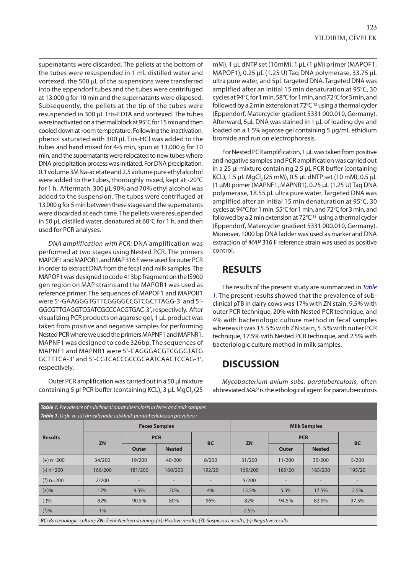<span id="page-2-0"></span>supernatants were discarded. The pellets at the bottom of the tubes were resuspended in 1 mL distilled water and vortexed, the 500 µL of the suspensions were transferred into the eppendorf tubes and the tubes were centrifuged at 13.000 g for 10 min and the supernatants were disposed. Subsequently, the pellets at the tip of the tubes were resuspended in 300 µL Tris-EDTA and vortexed. The tubes were inactivated on a thermal block at 95°C for 15 min and then cooled down at room temperature. Following the inactivation, phenol saturated with 300 µL Tris-HCl was added to the tubes and hand mixed for 4-5 min, spun at 13.000 g for 10 min, and the supernatants were relocated to new tubes where DNA precipitation process was initiated. For DNA precipitation, 0.1 volume 3M Na-acetate and 2.5 volume pure ethyl alcohol were added to the tubes, thoroughly mixed, kept at -20°C for 1 h. Aftermath, 300 µL 90% and 70% ethyl alcohol was added to the suspension. The tubes were centrifuged at 13.000 g for 5 min between these stages and the supernatants were discarded at each time. The pellets were resuspended in 50 µL distilled water, denatured at 60°C for 1 h, and then used for PCR analyses.

*DNA amplification with PCR:* DNA amplification was performed at two stages using Nested PCR. The primers MAPOF1 and MAPOR1, and MAP 316 F were used for outer PCR in order to extract DNA from the fecal and milk samples. The MAPOF1 was designed to code 413bp fragment on the IS900 gen region on MAP strains and the MAPOR1 was used as reference primer. The sequences of MAPOF1 and MAPOR1 were 5′-GAAGGGTGTTCGGGGCCGTCGCTTAGG-3′ and 5′- GGCGTTGAGGTCGATCGCCCACGTGAC-3′, respectively. After visualizing PCR products on agarose gel, 1 µL product was taken from positive and negative samples for performing Nested PCR where we used the primers MAPNF1 and MAPNR1. MAPNF1 was designed to code 326bp. The sequences of MAPNF1 and MAPNR1 were 5′-CAGGGACGTCGGGTATG GCTTTCA-3′ and 5′-CGTCACCGCCGCAATCAACTCCAG-3′, respectively.

Outer PCR amplification was carried out in a 50 μl mixture containing 5 μl PCR buffer (containing KCL), 3 μL MgCl<sub>2</sub> (25 mM), 1 µL dNTP set (10mM), 1 µL (1 µM) primer (MAPOF1, MAPOF1), 0.25 µL (1.25 U) Taq DNA polymerase, 33.75 µL ultra pure water, and 5µL targeted DNA. Targeted DNA was amplified after an initial 15 min denaturation at 95°C, 30 cycles at 94°C for 1 min, 58°C for 1 min, and 72°C for 3 min, and followed by a 2 min extension at 72°C 13 using a thermal cycler (Eppendorf, Matercycler gradient 5331 000.010, Germany). Afterward, 5µL DNA was stained in 1 µL of loading dye and loaded on a 1.5% agarose gel containing 5 µg/mL ethidium bromide and run on electrophoresis.

For Nested PCR amplification, 1 µL was taken from positive and negative samples and PCR amplification was carried out in a 25 μl mixture containing 2.5 µL PCR buffer (containing KCL), 1.5 µL MgCl<sub>2</sub> (25 mM), 0.5 µL dNTP set (10 mM), 0.5 µL (1 µM) primer (MAPNF1, MAPNR1), 0.25 µL (1.25 U) Taq DNA polymerase, 18.55 µL ultra pure water. Targeted DNA was amplified after an initial 15 min denaturation at 95°C, 30 cycles at 94°C for 1 min, 55°C for 1 min, and 72°C for 3 min, and followed by a 2 min extension at  $72^{\circ}C^{13}$  $72^{\circ}C^{13}$  $72^{\circ}C^{13}$  using a thermal cycler (Eppendorf, Matercycler gradient 5331 000.010, Germany). Moreover, 1000 bp DNA ladder was used as marker and DNA extraction of *MAP* 316 F reference strain was used as positive control.

### **RESULTS**

The results of the present study are summarized in *Table 1*. The present results showed that the prevalence of subclinical pTB in dairy cows was 17% with ZN stain, 9.5% with outer PCR technique, 20% with Nested PCR technique, and 4% with bacteriologic culture method in fecal samples whereas it was 15.5% with ZN stain, 5.5% with outer PCR technique, 17.5% with Nested PCR technique, and 2.5% with bacteriologic culture method in milk samples.

# **DISCUSSION**

*Mycobacterium avium subs. paratuberculosis*, often abbreviated *MAP* is the ethological agent for paratuberculosis

| <b>Results</b> | Tablo 1. Dışkı ve süt örneklerinde subklinik paratüberkülozun prevalansı<br><b>Feces Samples</b> |              |               |           | <b>Milk Samples</b> |              |               |           |
|----------------|--------------------------------------------------------------------------------------------------|--------------|---------------|-----------|---------------------|--------------|---------------|-----------|
|                | <b>ZN</b>                                                                                        | <b>PCR</b>   |               |           |                     | <b>PCR</b>   |               |           |
|                |                                                                                                  | <b>Outer</b> | <b>Nested</b> | <b>BC</b> | <b>ZN</b>           | <b>Outer</b> | <b>Nested</b> | <b>BC</b> |
| $(+)$ n=200    | 34/200                                                                                           | 19/200       | 40/200        | 8/200     | 31/200              | 11/200       | 35/200        | 5/200     |
| $(-)$ n=200    | 166/200                                                                                          | 181/200      | 160/200       | 192/20    | 169/200             | 189/20       | 165/200       | 195/20    |
| $(?)$ n=200    | 2/200                                                                                            |              |               |           | 5/200               |              |               |           |
| $(+)$ %        | 17%                                                                                              | 9.5%         | 20%           | 4%        | 15.5%               | 5.5%         | 17.5%         | 2.5%      |
| $(-)%$         | 82%                                                                                              | 90.5%        | 80%           | 96%       | 82%                 | 94.5%        | 82.5%         | 97.5%     |
| (?)%           | $1\%$                                                                                            |              |               |           | 2.5%                |              |               |           |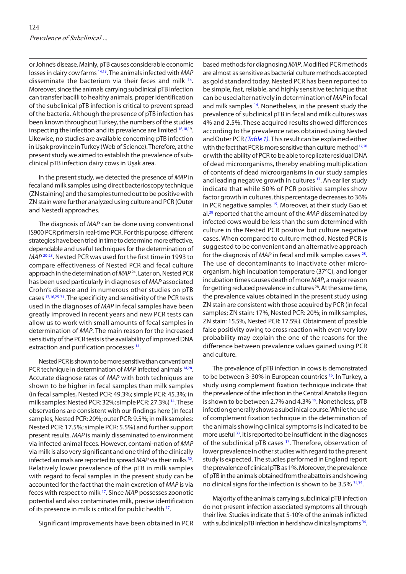or Johne's disease. Mainly, pTB causes considerable economic losses in dairy cow farms [14,15.](#page-4-0) The animals infected with *MAP* disseminate the bacterium via their feces and milk <sup>14</sup>. Moreover, since the animals carrying subclinical pTB infection can transfer bacilli to healthy animals, proper identification of the subclinical pTB infection is critical to prevent spread of the bacteria. Although the presence of pTB infection has been known throughout Turkey, the numbers of the studies inspecting the infection and its prevalence are limited <sup>[16,18,19](#page-4-0)</sup>. Likewise, no studies are available concerning pTB infection in Uşak province in Turkey (Web of Science). Therefore, at the present study we aimed to establish the prevalence of subclinical pTB infection dairy cows in Uşak area.

In the present study, we detected the presence of *MAP* in fecal and milk samples using direct bacterioscopy technique (ZN staining) and the samples turned out to be positive with ZN stain were further analyzed using culture and PCR (Outer and Nested) approaches.

The diagnosis of *MAP* can be done using conventional IS900 PCR primers in real-time PCR. For this purpose, different strategies have been tried in time to determine more effective, dependable and useful techniques for the determination of *MAP* <sup>[20-23](#page-5-0)</sup>. Nested PCR was used for the first time in 1993 to compare effectiveness of Nested PCR and fecal culture approach in the determination of *MAP* 24. Later on, Nested PCR has been used particularly in diagnoses of *MAP* associated Crohn's disease and in numerous other studies on pTB cases [13,16,](#page-4-0)[25-31.](#page-5-0) The specificity and sensitivity of the PCR tests used in the diagnoses of *MAP* in fecal samples have been greatly improved in recent years and new PCR tests can allow us to work with small amounts of fecal samples in determination of *MAP*. The main reason for the increased sensitivity of the PCR tests is the availability of improved DNA extraction and purification processes <sup>14</sup>.

Nested PCR is shown to be more sensitive than conventional PCR technique in determination of *MAP* infected animals <sup>14,28</sup>. Accurate diagnose rates of *MAP* with both techniques are shown to be higher in fecal samples than milk samples (in fecal samples, Nested PCR: 49.3%; simple PCR: 45.3%; in milk samples: Nested PCR: 32%; simple PCR: 27.3%) [14.](#page-4-0) These observations are consistent with our findings here (in fecal samples, Nested PCR: 20%; outer PCR: 9.5%; in milk samples: Nested PCR: 17.5%; simple PCR: 5.5%) and further support present results. *MAP* is mainly disseminated to environment via infected animal feces. However, contami-nation of *MAP* via milk is also very significant and one third of the clinically infected animals are reported to spread *MAP* via their milks <sup>32</sup>. Relatively lower prevalence of the pTB in milk samples with regard to fecal samples in the present study can be accounted for the fact that the main excretion of *MAP* is via feces with respect to milk [17.](#page-4-0) Since *MAP* possesses zoonotic potential and also contaminates milk, precise identification of its presence in milk is critical for public health <sup>17</sup>.

Significant improvements have been obtained in PCR

based methods for diagnosing *MAP*. Modified PCR methods are almost as sensitive as bacterial culture methods accepted as gold standard today. Nested PCR has been reported to be simple, fast, reliable, and highly sensitive technique that can be used alternatively in determination of *MAP* in fecal and milk samples <sup>14</sup>. Nonetheless, in the present study the prevalence of subclinical pTB in fecal and milk cultures was 4% and 2.5%. These acquired results showed differences according to the prevalence rates obtained using Nested and Outer PCR *[\(Table 1\).](#page-2-0)* This result can be explained either with the fact that PCR is more sensitive than culture method  $17,28$  $17,28$ or with the ability of PCR to be able to replicate residual DNA of dead microorganisms, thereby enabling multiplication of contents of dead microorganisms in our study samples and leading negative growth in cultures <sup>17</sup>. An earlier study indicate that while 50% of PCR positive samples show factor growth in cultures, this percentage decreases to 36% in PCR negative samples <sup>19</sup>. Moreover, at their study Gao et al.[28](#page-5-0) reported that the amount of the *MAP* disseminated by infected cows would be less than the sum determined with culture in the Nested PCR positive but culture negative cases. When compared to culture method, Nested PCR is suggested to be convenient and an alternative approach for the diagnosis of *MAP* in fecal and milk samples cases <sup>28</sup>. The use of decontaminants to inactivate other microorganism, high incubation temperature (37°C), and longer incubation times causes death of more *MAP*, a major reason for getting reduced prevalence in cultures<sup>28</sup>. At the same time, the prevalence values obtained in the present study using ZN stain are consistent with those acquired by PCR (in fecal samples; ZN stain: 17%, Nested PCR: 20%; in milk samples, ZN stain: 15.5%, Nested PCR: 17.5%). Obtainment of possible false positivity owing to cross reaction with even very low probability may explain the one of the reasons for the difference between prevalence values gained using PCR and culture.

The prevalence of pTB infection in cows is demonstrated to be between 3-30% in European countries <sup>15</sup>. In Turkey, a study using complement fixation technique indicate that the prevalence of the infection in the Central Anatolia Region is shown to be between 2.7% and 4.3% <sup>19</sup>. Nonetheless, pTB infection generally shows a subclinical course. While the use of complement fixation technique in the determination of the animals showing clinical symptoms is indicated to be more useful  $33$ , it is reported to be insufficient in the diagnoses of the subclinical pTB cases [17.](#page-4-0) Therefore, observation of lower prevalence in other studies with regard to the present study is expected. The studies performed in England report the prevalence of clinical pTB as 1%. Moreover, the prevalence of pTB in the animals obtained from the abattoirs and showing no clinical signs for the infection is shown to be 3.5% [34,35.](#page-5-0)

Majority of the animals carrying subclinical pTB infection do not present infection associated symptoms all through their live. Studies indicate that 5-10% of the animals inflicted with subclinical pTB infection in herd show clinical symptoms  $36$ .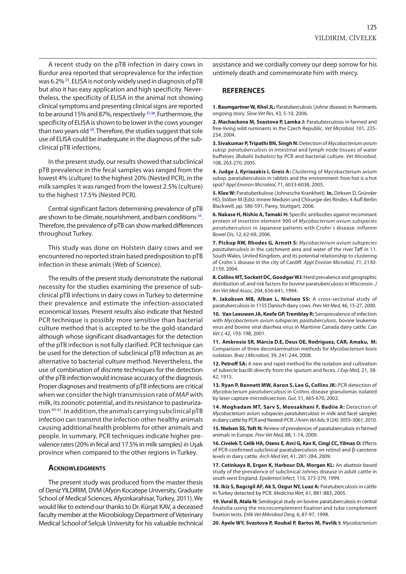<span id="page-4-0"></span>A recent study on the pTB infection in dairy cows in Burdur area reported that seroprevalence for the infection was 6.2% [33.](#page-5-0) ELISA is not only widely used in diagnosis of pTB but also it has easy application and high specificity. Nevertheless, the specificity of ELISA in the animal not showing clinical symptoms and presenting clinical signs are reported to be around 15% and 87%, respectively <sup>37,38</sup>. Furthermore, the specificity of ELISA is shown to be lower in the cows younger than two years old <sup>39</sup>. Therefore, the studies suggest that sole use of ELISA could be inadequate in the diagnosis of the subclinical pTB infections.

In the present study, our results showed that subclinical pTB prevalence in the fecal samples was ranged from the lowest 4% (culture) to the highest 20% (Nested PCR), in the milk samples it was ranged from the lowest 2.5% (culture) to the highest 17.5% (Nested PCR).

Central significant factors determining prevalence of pTB are shown to be climate, nourishment, and barn conditions <sup>35</sup>. Therefore, the prevalence of pTB can show marked differences throughout Turkey.

This study was done on Holstein dairy cows and we encountered no reported strain based predisposition to pTB infection in these animals (Web of Science).

The results of the present study demonstrate the national necessity for the studies examining the presence of subclinical pTB infections in dairy cows in Turkey to determine their prevalence and estimate the infection-associated economical losses. Present results also indicate that Nested PCR technique is possibly more sensitive than bacterial culture method that is accepted to be the gold-standard although whose significant disadvantages for the detection of the pTB infection is not fully clarified. PCR technique can be used for the detection of subclinical pTB infection as an alternative to bacterial culture method. Nevertheless, the use of combination of discrete techniques for the detection of the pTB infection would increase accuracy of the diagnosis. Proper diagnoses and treatments of pTB infections are critical when we consider the high transmission rate of *MAP* with milk, its zoonotic potential, and its resistance to pasteurization [40-42](#page-5-0). In addition, the animals carrying subclinical pTB infection can transmit the infection other healthy animals causing additional health problems for other animals and people. In summary, PCR techniques indicate higher prevalence rates (20% in fecal and 17.5% in milk samples) in Uşak province when compared to the other regions in Turkey.

#### **Acknowledgments**

The present study was produced from the master thesis of Deniz YILDIRIM, DVM (Afyon Kocatepe University, Graduate School of Medical Sciences, Afyonkarahisar, Turkey, 2011). We would like to extend our thanks to Dr. Kürşat KAV, a deceased faculty member at the Microbiology Department of Veterinary Medical School of Selçuk University for his valuable technical

assistance and we cordially convey our deep sorrow for his untimely death and commemorate him with mercy.

#### **REFERENCES**

**1. Baumgartner W, Khol JL:** Paratuberculosis (Johne disease) in Ruminants ongoing story. *Slow Vet Res,* 43, 5-10, 2006.

**2. Machackova M, Svastova P, Lamka J:** Paratuberculosis in farmed and free-living wild ruminants in the Czech Republic. *Vet Microbiol,* 101, 225- 234, 2004.

**3. Sivakumar P, Tripathi BN, Singh N:** Detection of *Mycobacterium avium subsp. paratuberculosis* in intestinal and lymph node tissues of water buffaloes *(Bubalis bubalois)* by PCR and bacterial culture. *Vet Microbiol,*  108, 263-270, 2005.

**4. Judge J, Kyriazakis I, Greis A:** Clustering of Mycobacterium avium subsp. paratuberculosis in rabbits and the environment: how hot is a hot spot? *Appl Environ Microbiol,* 71, 6033-6038, 2005.

**5. Klee W:** Paratuberkulose (Johnesche Krankheit). **In,** Dirksen D, Gründer HD, Stöber M (Eds): Innere Medizin und Chirurgie des Rindes*.* 4 Aufl Berlin Blackwell, pp. 586-591, Parey, Stuttgart, 2006.

**6. Nakase H, Nishio A, Tamaki H:** Specific antibodies against recominant protein of insertion element 900 of *Mycobacterium avium subspecies paratuberculosis* in Japanese patients with Crohn´s disease. *Inflamm Bowel Dis,* 12, 62-69, 2006.

**7. Pickup RW, Rhodes G, Arnott S:** *Mycobacterium avium subspecies paratuberculosis* in the catchment aera and water of the river Taff in 11. South Wales, United Kingdom, and its potential relationship to clustering of Crohn´s disease in the city of Cardiff. *Appl Environ Microbiol,* 71, 2130- 2139, 2004.

**8. Collins MT, Sockett DC, Goodger WJ:** Herd prevalence and geographic distribution of, and risk factors for bovine paratuberculosis in Wisconsin. *J Am Vet Med Assoc,* 204, 636-641, 1994.

**9. Jakobsen MB, Alban L, Nielsen SS:** A cross-sectional study of paratuberculosis in 1155 Danisch dairy cows. *Prev Vet Med,* 46, 15-27, 2000.

**10. Van Leeuwen JA, Keefe GP, Tremblay R:** Seroprevalence of infection with *Mycobacterium avium subspecies paratuberculosis*, bovine leukemia virus and bovine viral diarrhea virus in Maritime Canada dairy cattle. *Can Vet J,* 42, 193-198, 2001.

**11. Ambrosio SR, Márcia D.E, Deus OE, Rodriguez, CAR, Amaku, M:** Comparison of three decontamination methods for *Mycobacterium bovis* isolation. *Braz J Microbiol*, 39, 241-244, 2008.

**12. Petroff SA:** A new and rapid method for the isolation and cultivation of tubercle bacilli directly from the sputum and feces. *J Exp Med,* 21, 38- 42, 1915.

**13. Ryan P, Bennett MW, Aaron S, Lee G, Collins JK:** PCR detection of *Mycobacterium paratuberculosis* in Crohns disease granulomas isolated by laser capture microdissection*. Gut,* 51, 665-670, 2002.

**14. Moghadam MT, Sarv S, Moosakhani F, Badiie A:** Detection of *Mycobacterium avium subspecies paratuberculosis* in milk and facel samples in dairy cattle by PCR and Nested-PCR. *J Anim Vet Adv,* 9 (24): 3055-3061, 2010.

**15. Nielsen SS, Toft N:** Review of prevalences of paratuberculosis in farmed animals in Europe. *Prev Vet Med,* 88, 1-14, 2009.

**16. Civelek T, Celik HA, Ozenc E, Avci G, Kav K, Cingi CC, Yilmaz O:** Effects of PCR-confirmed subclinical paratuberculosis on retinol and β-carotene levels in dairy cattle. *Arch Med Vet,* 41, 281-284, 2009.

**17. Cetinkaya B, Ergan K, Harbour DA, Morgan KL:** An abattoir-based study of the prevalence of subclinical Johnes disease in adult cattle in south west England. *Epidemiol Infect,* 116, 373-379, 1999.

**18. Ikiz S, Bagcigil AF, Ak S, Ozgur NY, Loaz A:** Paratuberculosis in cattle in Turkey detected by PCR. *Medicina Wet,* 61, 881-883, 2005.

**19. Vural B, Atala N:** Serological study on bovine paratuberculosis in central Anatolia using the microcomplement fixation and tube complement fixation tests. *Etlik Vet Mikrobiol Derg,* 6, 87-97, 1998.

**20. Ayele WY, Svastova P, Roubal P, Bartos M, Pavlik I:** *Mycobacterium*